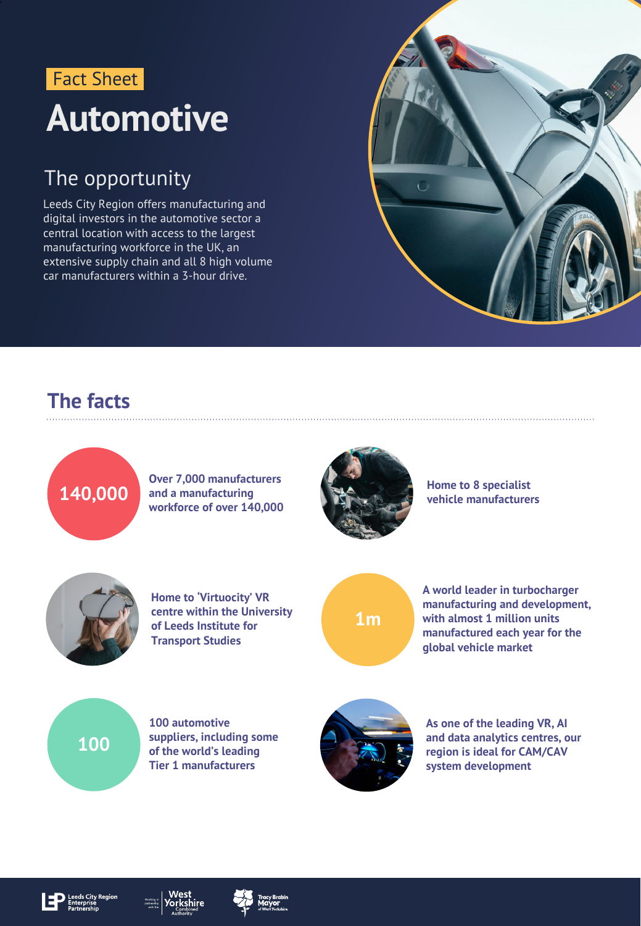### **Automotive** Fact Sheet

### The opportunity

Leeds City Region offers manufacturing and digital investors in the automotive sector a central location with access to the largest manufacturing workforce in the UK, an extensive supply chain and all 8 high volume car manufacturers within a 3-hour drive.



### **The facts**

## **140,000**

**Over 7,000 manufacturers and a manufacturing workforce of over 140,000**



**Home to 8 specialist vehicle manufacturers**



**Home to 'Virtuocity' VR centre within the University of Leeds Institute for Transport Studies**



**A world leader in turbocharger manufacturing and development, with almost 1 million units manufactured each year for the global vehicle market**



**100 automotive suppliers, including some of the world's leading Tier 1 manufacturers**



**As one of the leading VR, AI and data analytics centres, our region is ideal for CAM/CAV system development**



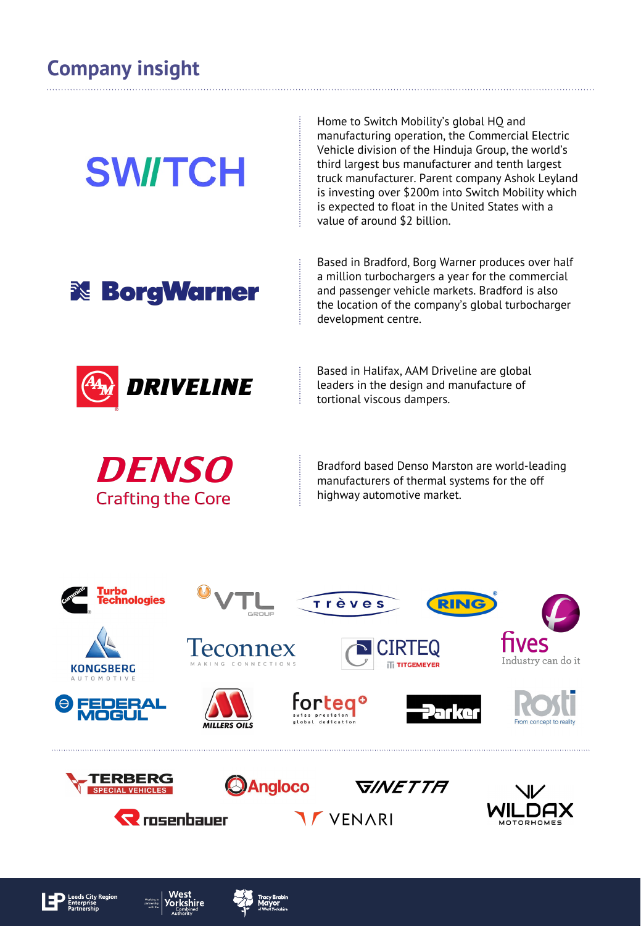# **SWITCH**

Home to Switch Mobility's global HQ and manufacturing operation, the Commercial Electric Vehicle division of the Hinduja Group, the world's third largest bus manufacturer and tenth largest truck manufacturer. Parent company Ashok Leyland is investing over \$200m into Switch Mobility which is expected to float in the United States with a value of around \$2 billion.



Based in Bradford, Borg Warner produces over half a million turbochargers a year for the commercial and passenger vehicle markets. Bradford is also the location of the company's global turbocharger development centre.



Based in Halifax, AAM Driveline are global leaders in the design and manufacture of tortional viscous dampers.



Bradford based Denso Marston are world-leading manufacturers of thermal systems for the off highway automotive market.









**MILLERS OILS** 



fortego

**IF VENARI** 







RING



Industry can do it



Angloco





![](_page_1_Picture_22.jpeg)

![](_page_1_Picture_23.jpeg)

 $\mathbf R$  rosenhauer

![](_page_1_Picture_24.jpeg)